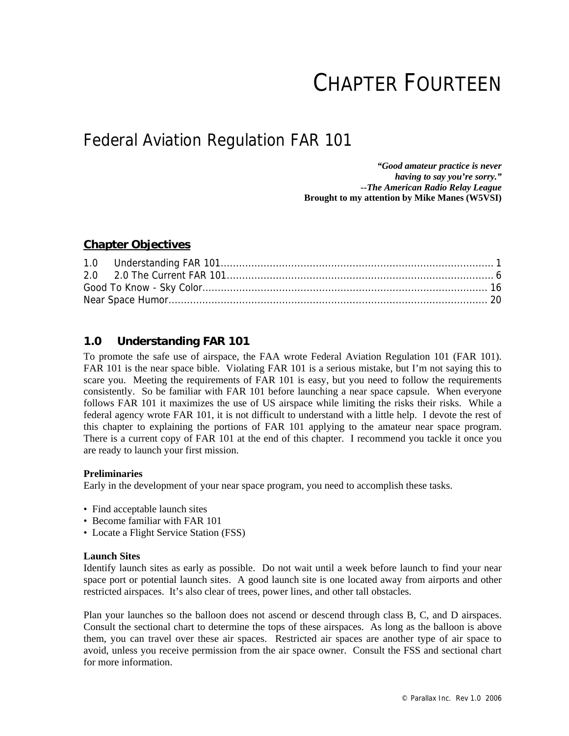# CHAPTER FOURTEEN

## Federal Aviation Regulation FAR 101

*"Good amateur practice is never having to say you're sorry." --The American Radio Relay League*  **Brought to my attention by Mike Manes (W5VSI)** 

### **Chapter Objectives**

## **1.0 Understanding FAR 101**

To promote the safe use of airspace, the FAA wrote Federal Aviation Regulation 101 (FAR 101). FAR 101 is the near space bible. Violating FAR 101 is a serious mistake, but I'm not saying this to scare you. Meeting the requirements of FAR 101 is easy, but you need to follow the requirements consistently. So be familiar with FAR 101 before launching a near space capsule. When everyone follows FAR 101 it maximizes the use of US airspace while limiting the risks their risks. While a federal agency wrote FAR 101, it is not difficult to understand with a little help. I devote the rest of this chapter to explaining the portions of FAR 101 applying to the amateur near space program. There is a current copy of FAR 101 at the end of this chapter. I recommend you tackle it once you are ready to launch your first mission.

#### **Preliminaries**

Early in the development of your near space program, you need to accomplish these tasks.

- Find acceptable launch sites
- Become familiar with FAR 101
- Locate a Flight Service Station (FSS)

#### **Launch Sites**

Identify launch sites as early as possible. Do not wait until a week before launch to find your near space port or potential launch sites. A good launch site is one located away from airports and other restricted airspaces. It's also clear of trees, power lines, and other tall obstacles.

Plan your launches so the balloon does not ascend or descend through class B, C, and D airspaces. Consult the sectional chart to determine the tops of these airspaces. As long as the balloon is above them, you can travel over these air spaces. Restricted air spaces are another type of air space to avoid, unless you receive permission from the air space owner. Consult the FSS and sectional chart for more information.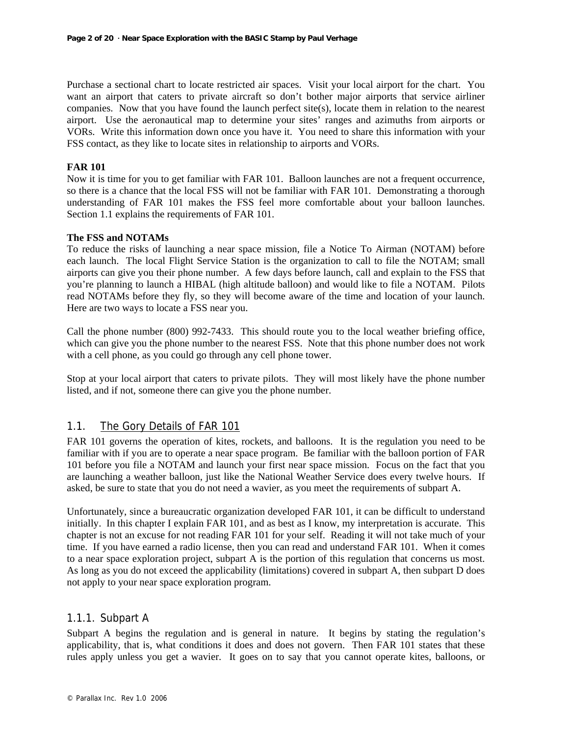Purchase a sectional chart to locate restricted air spaces. Visit your local airport for the chart. You want an airport that caters to private aircraft so don't bother major airports that service airliner companies. Now that you have found the launch perfect  $site(s)$ , locate them in relation to the nearest airport. Use the aeronautical map to determine your sites' ranges and azimuths from airports or VORs. Write this information down once you have it. You need to share this information with your FSS contact, as they like to locate sites in relationship to airports and VORs.

#### **FAR 101**

Now it is time for you to get familiar with FAR 101. Balloon launches are not a frequent occurrence, so there is a chance that the local FSS will not be familiar with FAR 101. Demonstrating a thorough understanding of FAR 101 makes the FSS feel more comfortable about your balloon launches. Section 1.1 explains the requirements of FAR 101.

#### **The FSS and NOTAMs**

To reduce the risks of launching a near space mission, file a Notice To Airman (NOTAM) before each launch. The local Flight Service Station is the organization to call to file the NOTAM; small airports can give you their phone number. A few days before launch, call and explain to the FSS that you're planning to launch a HIBAL (high altitude balloon) and would like to file a NOTAM. Pilots read NOTAMs before they fly, so they will become aware of the time and location of your launch. Here are two ways to locate a FSS near you.

Call the phone number (800) 992-7433. This should route you to the local weather briefing office, which can give you the phone number to the nearest FSS. Note that this phone number does not work with a cell phone, as you could go through any cell phone tower.

Stop at your local airport that caters to private pilots. They will most likely have the phone number listed, and if not, someone there can give you the phone number.

#### 1.1. The Gory Details of FAR 101

FAR 101 governs the operation of kites, rockets, and balloons. It is the regulation you need to be familiar with if you are to operate a near space program. Be familiar with the balloon portion of FAR 101 before you file a NOTAM and launch your first near space mission. Focus on the fact that you are launching a weather balloon, just like the National Weather Service does every twelve hours. If asked, be sure to state that you do not need a wavier, as you meet the requirements of subpart A.

Unfortunately, since a bureaucratic organization developed FAR 101, it can be difficult to understand initially. In this chapter I explain FAR 101, and as best as I know, my interpretation is accurate. This chapter is not an excuse for not reading FAR 101 for your self. Reading it will not take much of your time. If you have earned a radio license, then you can read and understand FAR 101. When it comes to a near space exploration project, subpart A is the portion of this regulation that concerns us most. As long as you do not exceed the applicability (limitations) covered in subpart A, then subpart D does not apply to your near space exploration program.

#### 1.1.1. Subpart A

Subpart A begins the regulation and is general in nature. It begins by stating the regulation's applicability, that is, what conditions it does and does not govern. Then FAR 101 states that these rules apply unless you get a wavier. It goes on to say that you cannot operate kites, balloons, or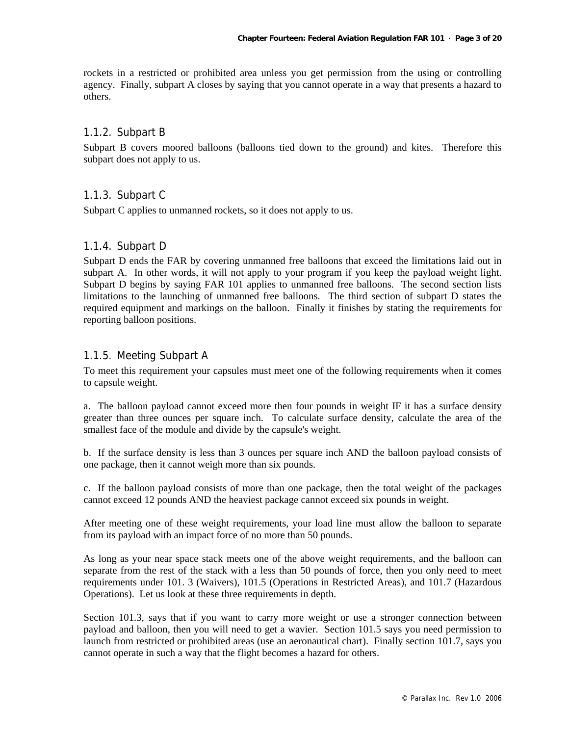rockets in a restricted or prohibited area unless you get permission from the using or controlling agency. Finally, subpart A closes by saying that you cannot operate in a way that presents a hazard to others.

#### 1.1.2. Subpart B

Subpart B covers moored balloons (balloons tied down to the ground) and kites. Therefore this subpart does not apply to us.

#### 1.1.3. Subpart C

Subpart C applies to unmanned rockets, so it does not apply to us.

#### 1.1.4. Subpart D

Subpart D ends the FAR by covering unmanned free balloons that exceed the limitations laid out in subpart A. In other words, it will not apply to your program if you keep the payload weight light. Subpart D begins by saying FAR 101 applies to unmanned free balloons. The second section lists limitations to the launching of unmanned free balloons. The third section of subpart D states the required equipment and markings on the balloon. Finally it finishes by stating the requirements for reporting balloon positions.

#### 1.1.5. Meeting Subpart A

To meet this requirement your capsules must meet one of the following requirements when it comes to capsule weight.

a. The balloon payload cannot exceed more then four pounds in weight IF it has a surface density greater than three ounces per square inch. To calculate surface density, calculate the area of the smallest face of the module and divide by the capsule's weight.

b. If the surface density is less than 3 ounces per square inch AND the balloon payload consists of one package, then it cannot weigh more than six pounds.

c. If the balloon payload consists of more than one package, then the total weight of the packages cannot exceed 12 pounds AND the heaviest package cannot exceed six pounds in weight.

After meeting one of these weight requirements, your load line must allow the balloon to separate from its payload with an impact force of no more than 50 pounds.

As long as your near space stack meets one of the above weight requirements, and the balloon can separate from the rest of the stack with a less than 50 pounds of force, then you only need to meet requirements under 101. 3 (Waivers), 101.5 (Operations in Restricted Areas), and 101.7 (Hazardous Operations). Let us look at these three requirements in depth.

Section 101.3, says that if you want to carry more weight or use a stronger connection between payload and balloon, then you will need to get a wavier. Section 101.5 says you need permission to launch from restricted or prohibited areas (use an aeronautical chart). Finally section 101.7, says you cannot operate in such a way that the flight becomes a hazard for others.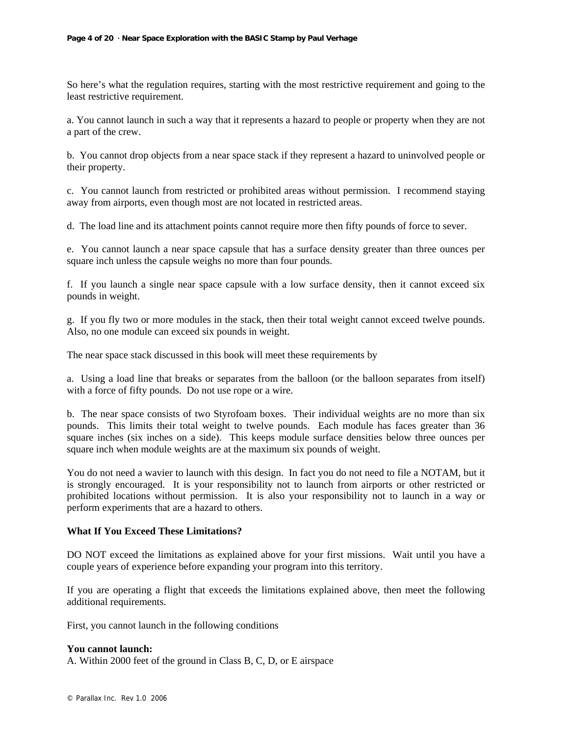So here's what the regulation requires, starting with the most restrictive requirement and going to the least restrictive requirement.

a. You cannot launch in such a way that it represents a hazard to people or property when they are not a part of the crew.

b. You cannot drop objects from a near space stack if they represent a hazard to uninvolved people or their property.

c. You cannot launch from restricted or prohibited areas without permission. I recommend staying away from airports, even though most are not located in restricted areas.

d. The load line and its attachment points cannot require more then fifty pounds of force to sever.

e. You cannot launch a near space capsule that has a surface density greater than three ounces per square inch unless the capsule weighs no more than four pounds.

f. If you launch a single near space capsule with a low surface density, then it cannot exceed six pounds in weight.

g. If you fly two or more modules in the stack, then their total weight cannot exceed twelve pounds. Also, no one module can exceed six pounds in weight.

The near space stack discussed in this book will meet these requirements by

a. Using a load line that breaks or separates from the balloon (or the balloon separates from itself) with a force of fifty pounds. Do not use rope or a wire.

b. The near space consists of two Styrofoam boxes. Their individual weights are no more than six pounds. This limits their total weight to twelve pounds. Each module has faces greater than 36 square inches (six inches on a side). This keeps module surface densities below three ounces per square inch when module weights are at the maximum six pounds of weight.

You do not need a wavier to launch with this design. In fact you do not need to file a NOTAM, but it is strongly encouraged. It is your responsibility not to launch from airports or other restricted or prohibited locations without permission. It is also your responsibility not to launch in a way or perform experiments that are a hazard to others.

#### **What If You Exceed These Limitations?**

DO NOT exceed the limitations as explained above for your first missions. Wait until you have a couple years of experience before expanding your program into this territory.

If you are operating a flight that exceeds the limitations explained above, then meet the following additional requirements.

First, you cannot launch in the following conditions

#### **You cannot launch:**

A. Within 2000 feet of the ground in Class B, C, D, or E airspace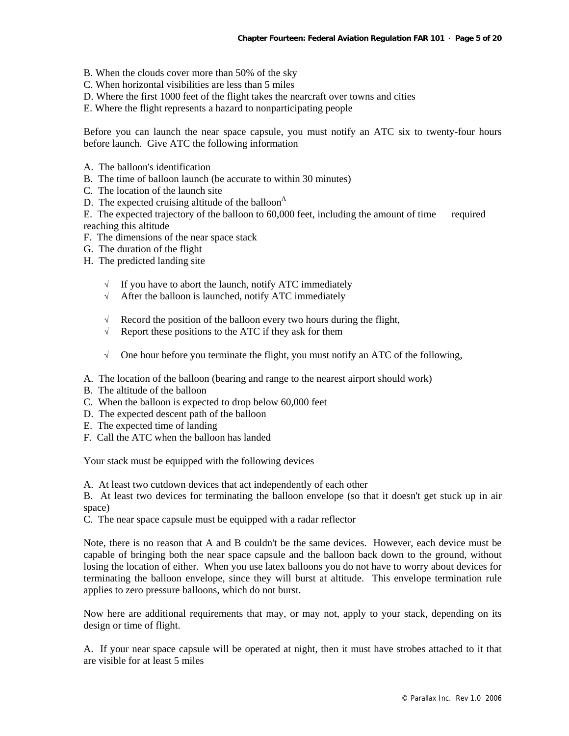- B. When the clouds cover more than 50% of the sky
- C. When horizontal visibilities are less than 5 miles
- D. Where the first 1000 feet of the flight takes the nearcraft over towns and cities
- E. Where the flight represents a hazard to nonparticipating people

Before you can launch the near space capsule, you must notify an ATC six to twenty-four hours before launch. Give ATC the following information

- A. The balloon's identification
- B. The time of balloon launch (be accurate to within 30 minutes)
- C. The location of the launch site
- D. The expected cruising altitude of the balloon<sup>A</sup>

E. The expected trajectory of the balloon to 60,000 feet, including the amount of time required reaching this altitude

- F. The dimensions of the near space stack
- G. The duration of the flight
- H. The predicted landing site
	- If you have to abort the launch, notify ATC immediately
	- $\sqrt{\phantom{a}}$  After the balloon is launched, notify ATC immediately
	- $\sqrt{\phantom{a}}$  Record the position of the balloon every two hours during the flight,
	- √ Report these positions to the ATC if they ask for them
	- $\sqrt{\phantom{a}}$  One hour before you terminate the flight, you must notify an ATC of the following,
- A. The location of the balloon (bearing and range to the nearest airport should work)
- B. The altitude of the balloon
- C. When the balloon is expected to drop below 60,000 feet
- D. The expected descent path of the balloon
- E. The expected time of landing
- F. Call the ATC when the balloon has landed

Your stack must be equipped with the following devices

A. At least two cutdown devices that act independently of each other

B. At least two devices for terminating the balloon envelope (so that it doesn't get stuck up in air space)

C. The near space capsule must be equipped with a radar reflector

Note, there is no reason that A and B couldn't be the same devices. However, each device must be capable of bringing both the near space capsule and the balloon back down to the ground, without losing the location of either. When you use latex balloons you do not have to worry about devices for terminating the balloon envelope, since they will burst at altitude. This envelope termination rule applies to zero pressure balloons, which do not burst.

Now here are additional requirements that may, or may not, apply to your stack, depending on its design or time of flight.

A. If your near space capsule will be operated at night, then it must have strobes attached to it that are visible for at least 5 miles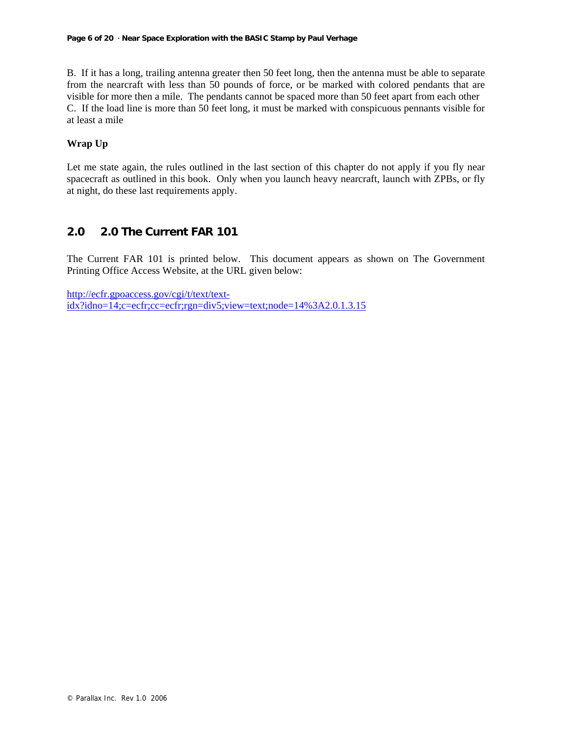B. If it has a long, trailing antenna greater then 50 feet long, then the antenna must be able to separate from the nearcraft with less than 50 pounds of force, or be marked with colored pendants that are visible for more then a mile. The pendants cannot be spaced more than 50 feet apart from each other C. If the load line is more than 50 feet long, it must be marked with conspicuous pennants visible for at least a mile

### **Wrap Up**

Let me state again, the rules outlined in the last section of this chapter do not apply if you fly near spacecraft as outlined in this book. Only when you launch heavy nearcraft, launch with ZPBs, or fly at night, do these last requirements apply.

## **2.0 2.0 The Current FAR 101**

The Current FAR 101 is printed below. This document appears as shown on The Government Printing Office Access Website, at the URL given below:

http://ecfr.gpoaccess.gov/cgi/t/text/textidx?idno=14;c=ecfr;cc=ecfr;rgn=div5;view=text;node=14%3A2.0.1.3.15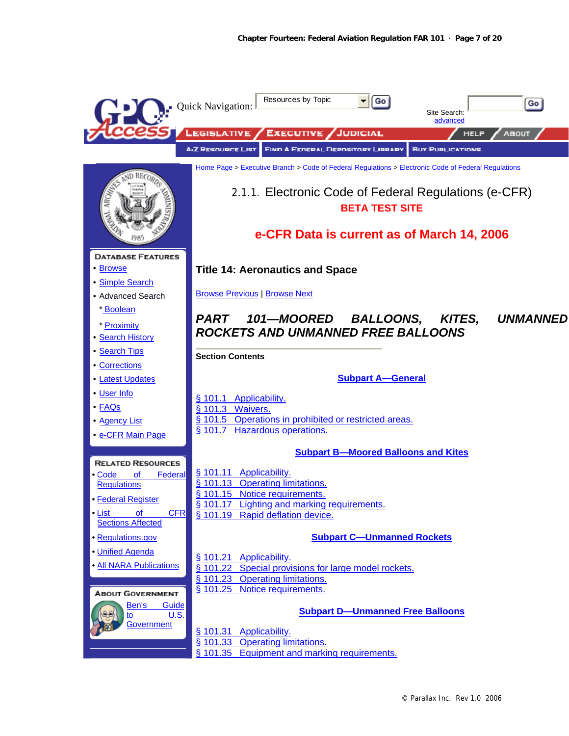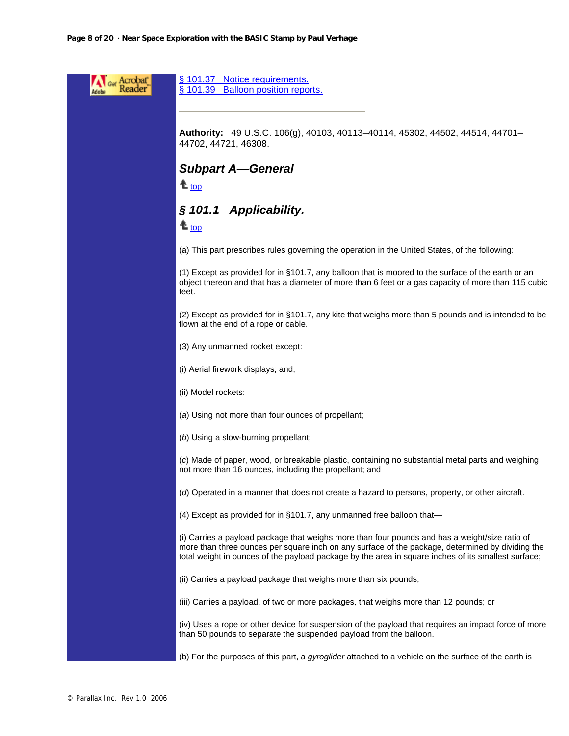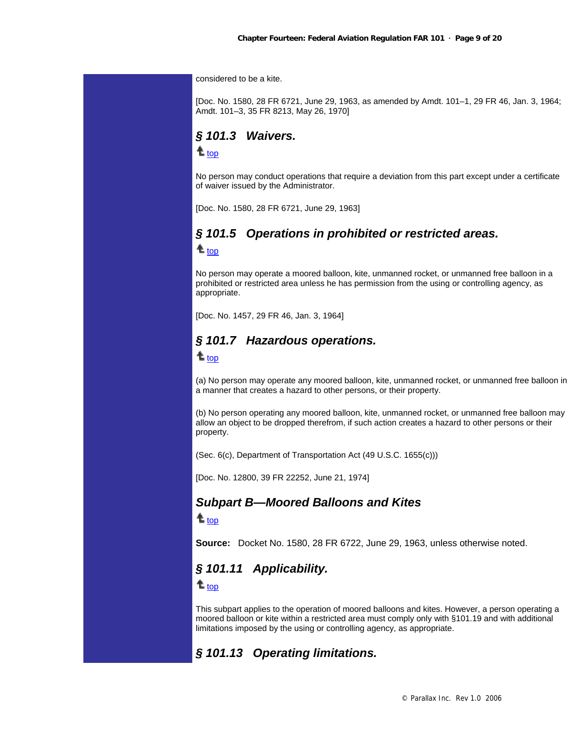considered to be a kite.

[Doc. No. 1580, 28 FR 6721, June 29, 1963, as amended by Amdt. 101–1, 29 FR 46, Jan. 3, 1964; Amdt. 101–3, 35 FR 8213, May 26, 1970]

## *§ 101.3 Waivers.*

top

No person may conduct operations that require a deviation from this part except under a certificate of waiver issued by the Administrator.

[Doc. No. 1580, 28 FR 6721, June 29, 1963]

## *§ 101.5 Operations in prohibited or restricted areas.*  $t_{\text{top}}$

No person may operate a moored balloon, kite, unmanned rocket, or unmanned free balloon in a prohibited or restricted area unless he has permission from the using or controlling agency, as appropriate.

[Doc. No. 1457, 29 FR 46, Jan. 3, 1964]

### *§ 101.7 Hazardous operations.*

 $t_{\rm top}$ 

(a) No person may operate any moored balloon, kite, unmanned rocket, or unmanned free balloon in a manner that creates a hazard to other persons, or their property.

(b) No person operating any moored balloon, kite, unmanned rocket, or unmanned free balloon may allow an object to be dropped therefrom, if such action creates a hazard to other persons or their property.

(Sec. 6(c), Department of Transportation Act (49 U.S.C. 1655(c)))

[Doc. No. 12800, 39 FR 22252, June 21, 1974]

## *Subpart B—Moored Balloons and Kites*

 $t_{\rm top}$ 

**Source:** Docket No. 1580, 28 FR 6722, June 29, 1963, unless otherwise noted.

## *§ 101.11 Applicability.*

t<sub>top</sub>

This subpart applies to the operation of moored balloons and kites. However, a person operating a moored balloon or kite within a restricted area must comply only with §101.19 and with additional limitations imposed by the using or controlling agency, as appropriate.

## *§ 101.13 Operating limitations.*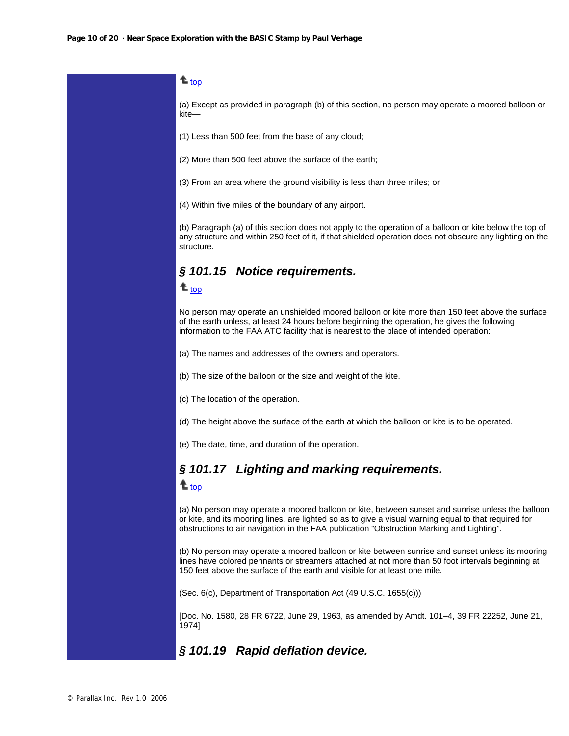### t<sub>top</sub>

(a) Except as provided in paragraph (b) of this section, no person may operate a moored balloon or kite—

(1) Less than 500 feet from the base of any cloud;

(2) More than 500 feet above the surface of the earth;

(3) From an area where the ground visibility is less than three miles; or

(4) Within five miles of the boundary of any airport.

(b) Paragraph (a) of this section does not apply to the operation of a balloon or kite below the top of any structure and within 250 feet of it, if that shielded operation does not obscure any lighting on the structure.

## *§ 101.15 Notice requirements.*

#### <sup>t</sup>top

No person may operate an unshielded moored balloon or kite more than 150 feet above the surface of the earth unless, at least 24 hours before beginning the operation, he gives the following information to the FAA ATC facility that is nearest to the place of intended operation:

(a) The names and addresses of the owners and operators.

(b) The size of the balloon or the size and weight of the kite.

(c) The location of the operation.

(d) The height above the surface of the earth at which the balloon or kite is to be operated.

(e) The date, time, and duration of the operation.

### *§ 101.17 Lighting and marking requirements.*

## t top

(a) No person may operate a moored balloon or kite, between sunset and sunrise unless the balloon or kite, and its mooring lines, are lighted so as to give a visual warning equal to that required for obstructions to air navigation in the FAA publication "Obstruction Marking and Lighting".

(b) No person may operate a moored balloon or kite between sunrise and sunset unless its mooring lines have colored pennants or streamers attached at not more than 50 foot intervals beginning at 150 feet above the surface of the earth and visible for at least one mile.

(Sec. 6(c), Department of Transportation Act (49 U.S.C. 1655(c)))

[Doc. No. 1580, 28 FR 6722, June 29, 1963, as amended by Amdt. 101–4, 39 FR 22252, June 21, 1974]

### *§ 101.19 Rapid deflation device.*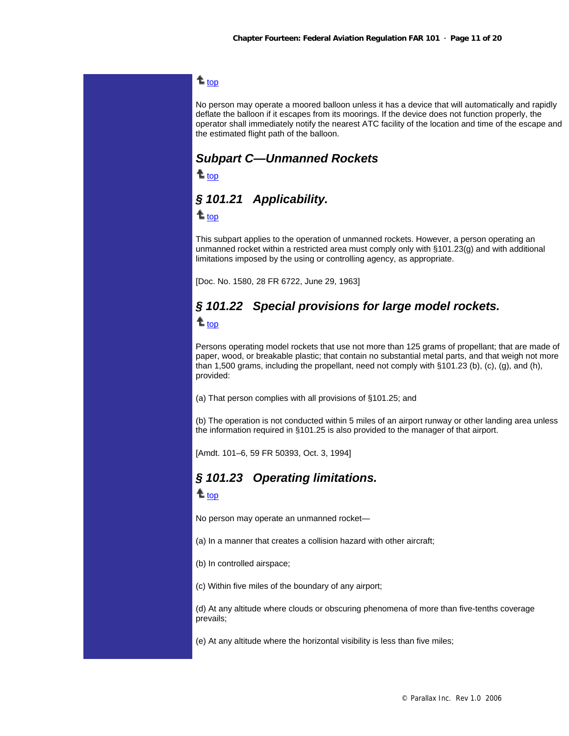## t<sub>top</sub>

No person may operate a moored balloon unless it has a device that will automatically and rapidly deflate the balloon if it escapes from its moorings. If the device does not function properly, the operator shall immediately notify the nearest ATC facility of the location and time of the escape and the estimated flight path of the balloon.

*Subpart C—Unmanned Rockets*

 $t_{\rm top}$ 

## *§ 101.21 Applicability.*

 $t_{\rm too}$ 

This subpart applies to the operation of unmanned rockets. However, a person operating an unmanned rocket within a restricted area must comply only with §101.23(g) and with additional limitations imposed by the using or controlling agency, as appropriate.

[Doc. No. 1580, 28 FR 6722, June 29, 1963]

## *§ 101.22 Special provisions for large model rockets.*

 $t_{\rm top}$ 

Persons operating model rockets that use not more than 125 grams of propellant; that are made of paper, wood, or breakable plastic; that contain no substantial metal parts, and that weigh not more than 1,500 grams, including the propellant, need not comply with §101.23 (b), (c), (g), and (h), provided:

(a) That person complies with all provisions of §101.25; and

(b) The operation is not conducted within 5 miles of an airport runway or other landing area unless the information required in §101.25 is also provided to the manager of that airport.

[Amdt. 101–6, 59 FR 50393, Oct. 3, 1994]

## *§ 101.23 Operating limitations.*

 $t_{\rm top}$ 

No person may operate an unmanned rocket—

(a) In a manner that creates a collision hazard with other aircraft;

(b) In controlled airspace;

(c) Within five miles of the boundary of any airport;

(d) At any altitude where clouds or obscuring phenomena of more than five-tenths coverage prevails;

(e) At any altitude where the horizontal visibility is less than five miles;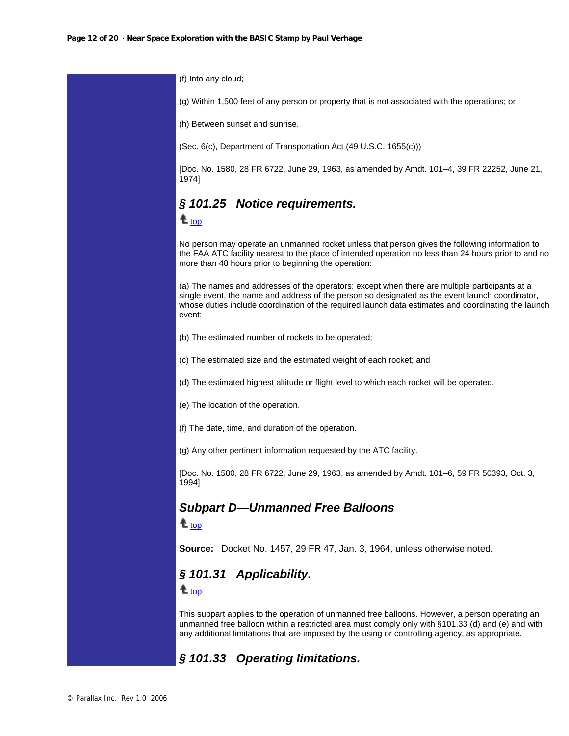(f) Into any cloud;

(g) Within 1,500 feet of any person or property that is not associated with the operations; or

(h) Between sunset and sunrise.

(Sec. 6(c), Department of Transportation Act (49 U.S.C. 1655(c)))

[Doc. No. 1580, 28 FR 6722, June 29, 1963, as amended by Amdt. 101–4, 39 FR 22252, June 21, 1974]

## *§ 101.25 Notice requirements.*

 $t$  top

No person may operate an unmanned rocket unless that person gives the following information to the FAA ATC facility nearest to the place of intended operation no less than 24 hours prior to and no more than 48 hours prior to beginning the operation:

(a) The names and addresses of the operators; except when there are multiple participants at a single event, the name and address of the person so designated as the event launch coordinator, whose duties include coordination of the required launch data estimates and coordinating the launch event;

(b) The estimated number of rockets to be operated;

(c) The estimated size and the estimated weight of each rocket; and

(d) The estimated highest altitude or flight level to which each rocket will be operated.

(e) The location of the operation.

(f) The date, time, and duration of the operation.

(g) Any other pertinent information requested by the ATC facility.

[Doc. No. 1580, 28 FR 6722, June 29, 1963, as amended by Amdt. 101–6, 59 FR 50393, Oct. 3, 1994]

#### *Subpart D—Unmanned Free Balloons*

t<sub>top</sub>

**Source:** Docket No. 1457, 29 FR 47, Jan. 3, 1964, unless otherwise noted.

### *§ 101.31 Applicability.*

 $t$  top

This subpart applies to the operation of unmanned free balloons. However, a person operating an unmanned free balloon within a restricted area must comply only with §101.33 (d) and (e) and with any additional limitations that are imposed by the using or controlling agency, as appropriate.

## *§ 101.33 Operating limitations.*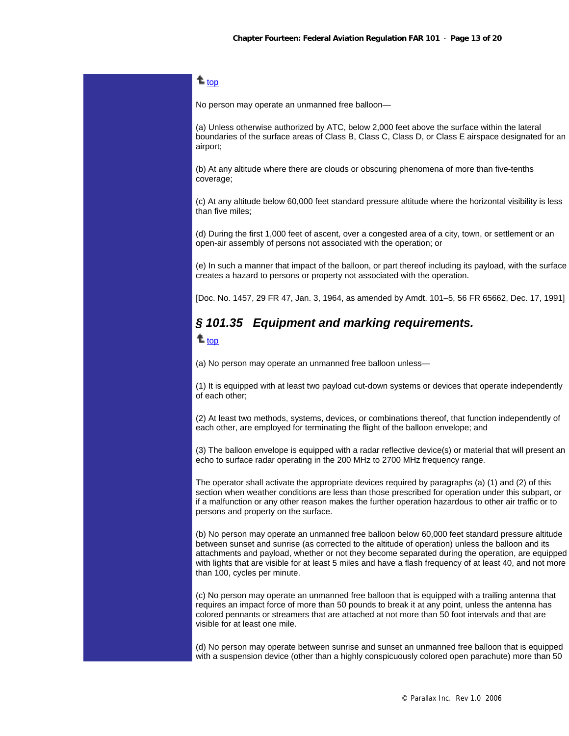## t<sub>top</sub>

No person may operate an unmanned free balloon—

(a) Unless otherwise authorized by ATC, below 2,000 feet above the surface within the lateral boundaries of the surface areas of Class B, Class C, Class D, or Class E airspace designated for an airport;

(b) At any altitude where there are clouds or obscuring phenomena of more than five-tenths coverage;

(c) At any altitude below 60,000 feet standard pressure altitude where the horizontal visibility is less than five miles;

(d) During the first 1,000 feet of ascent, over a congested area of a city, town, or settlement or an open-air assembly of persons not associated with the operation; or

(e) In such a manner that impact of the balloon, or part thereof including its payload, with the surface creates a hazard to persons or property not associated with the operation.

[Doc. No. 1457, 29 FR 47, Jan. 3, 1964, as amended by Amdt. 101–5, 56 FR 65662, Dec. 17, 1991]

## *§ 101.35 Equipment and marking requirements.*  $t_{\rm top}$

(a) No person may operate an unmanned free balloon unless—

(1) It is equipped with at least two payload cut-down systems or devices that operate independently of each other;

(2) At least two methods, systems, devices, or combinations thereof, that function independently of each other, are employed for terminating the flight of the balloon envelope; and

(3) The balloon envelope is equipped with a radar reflective device(s) or material that will present an echo to surface radar operating in the 200 MHz to 2700 MHz frequency range.

The operator shall activate the appropriate devices required by paragraphs (a) (1) and (2) of this section when weather conditions are less than those prescribed for operation under this subpart, or if a malfunction or any other reason makes the further operation hazardous to other air traffic or to persons and property on the surface.

(b) No person may operate an unmanned free balloon below 60,000 feet standard pressure altitude between sunset and sunrise (as corrected to the altitude of operation) unless the balloon and its attachments and payload, whether or not they become separated during the operation, are equipped with lights that are visible for at least 5 miles and have a flash frequency of at least 40, and not more than 100, cycles per minute.

(c) No person may operate an unmanned free balloon that is equipped with a trailing antenna that requires an impact force of more than 50 pounds to break it at any point, unless the antenna has colored pennants or streamers that are attached at not more than 50 foot intervals and that are visible for at least one mile.

(d) No person may operate between sunrise and sunset an unmanned free balloon that is equipped with a suspension device (other than a highly conspicuously colored open parachute) more than 50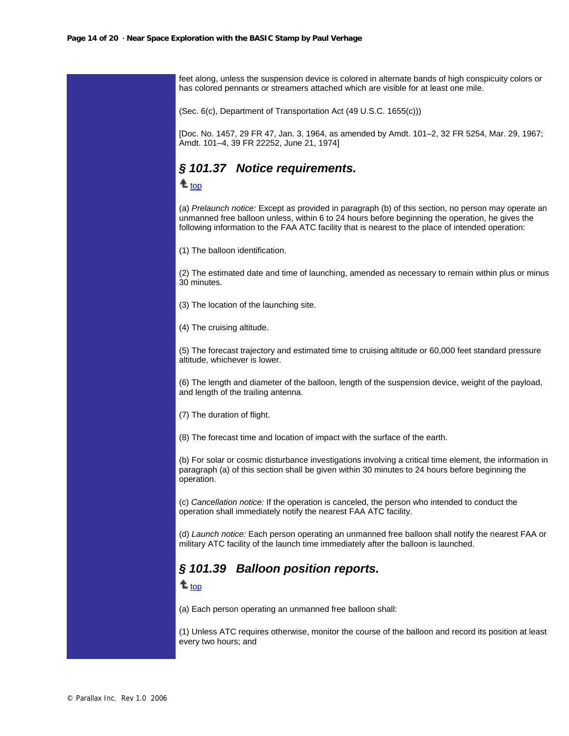feet along, unless the suspension device is colored in alternate bands of high conspicuity colors or has colored pennants or streamers attached which are visible for at least one mile.

(Sec. 6(c), Department of Transportation Act (49 U.S.C. 1655(c)))

[Doc. No. 1457, 29 FR 47, Jan. 3, 1964, as amended by Amdt. 101–2, 32 FR 5254, Mar. 29, 1967; Amdt. 101–4, 39 FR 22252, June 21, 1974]

## *§ 101.37 Notice requirements.*

 $t_{\text{top}}$ 

(a) *Prelaunch notice:* Except as provided in paragraph (b) of this section, no person may operate an unmanned free balloon unless, within 6 to 24 hours before beginning the operation, he gives the following information to the FAA ATC facility that is nearest to the place of intended operation:

(1) The balloon identification.

(2) The estimated date and time of launching, amended as necessary to remain within plus or minus 30 minutes.

(3) The location of the launching site.

(4) The cruising altitude.

(5) The forecast trajectory and estimated time to cruising altitude or 60,000 feet standard pressure altitude, whichever is lower.

(6) The length and diameter of the balloon, length of the suspension device, weight of the payload, and length of the trailing antenna.

(7) The duration of flight.

(8) The forecast time and location of impact with the surface of the earth.

(b) For solar or cosmic disturbance investigations involving a critical time element, the information in paragraph (a) of this section shall be given within 30 minutes to 24 hours before beginning the operation.

(c) *Cancellation notice:* If the operation is canceled, the person who intended to conduct the operation shall immediately notify the nearest FAA ATC facility.

(d) *Launch notice:* Each person operating an unmanned free balloon shall notify the nearest FAA or military ATC facility of the launch time immediately after the balloon is launched.

## *§ 101.39 Balloon position reports.*

 $t_{\text{top}}$ 

(a) Each person operating an unmanned free balloon shall:

(1) Unless ATC requires otherwise, monitor the course of the balloon and record its position at least every two hours; and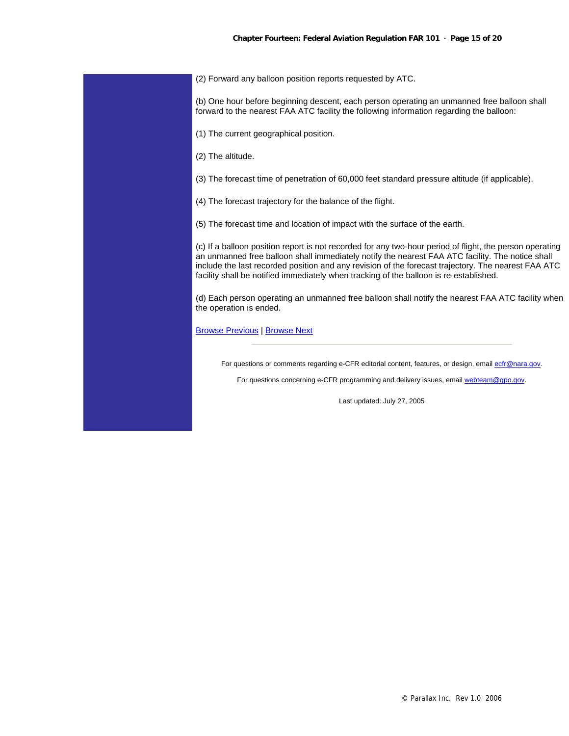(2) Forward any balloon position reports requested by ATC.

(b) One hour before beginning descent, each person operating an unmanned free balloon shall forward to the nearest FAA ATC facility the following information regarding the balloon:

(1) The current geographical position.

(2) The altitude.

(3) The forecast time of penetration of 60,000 feet standard pressure altitude (if applicable).

(4) The forecast trajectory for the balance of the flight.

(5) The forecast time and location of impact with the surface of the earth.

(c) If a balloon position report is not recorded for any two-hour period of flight, the person operating an unmanned free balloon shall immediately notify the nearest FAA ATC facility. The notice shall include the last recorded position and any revision of the forecast trajectory. The nearest FAA ATC facility shall be notified immediately when tracking of the balloon is re-established.

(d) Each person operating an unmanned free balloon shall notify the nearest FAA ATC facility when the operation is ended.

#### Browse Previous | Browse Next

For questions or comments regarding e-CFR editorial content, features, or design, email **ecfr@nara.gov.** 

For questions concerning e-CFR programming and delivery issues, email webteam@gpo.gov.

Last updated: July 27, 2005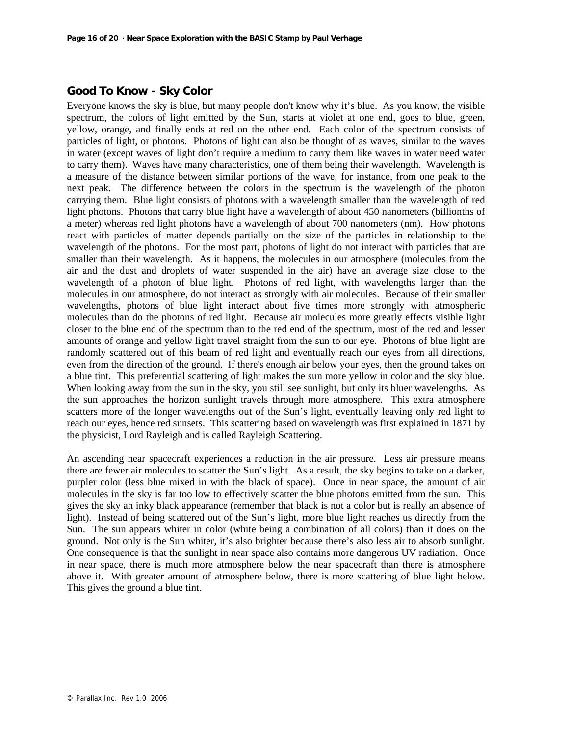#### **Good To Know - Sky Color**

Everyone knows the sky is blue, but many people don't know why it's blue. As you know, the visible spectrum, the colors of light emitted by the Sun, starts at violet at one end, goes to blue, green, yellow, orange, and finally ends at red on the other end. Each color of the spectrum consists of particles of light, or photons. Photons of light can also be thought of as waves, similar to the waves in water (except waves of light don't require a medium to carry them like waves in water need water to carry them). Waves have many characteristics, one of them being their wavelength. Wavelength is a measure of the distance between similar portions of the wave, for instance, from one peak to the next peak. The difference between the colors in the spectrum is the wavelength of the photon carrying them. Blue light consists of photons with a wavelength smaller than the wavelength of red light photons. Photons that carry blue light have a wavelength of about 450 nanometers (billionths of a meter) whereas red light photons have a wavelength of about 700 nanometers (nm). How photons react with particles of matter depends partially on the size of the particles in relationship to the wavelength of the photons. For the most part, photons of light do not interact with particles that are smaller than their wavelength. As it happens, the molecules in our atmosphere (molecules from the air and the dust and droplets of water suspended in the air) have an average size close to the wavelength of a photon of blue light. Photons of red light, with wavelengths larger than the molecules in our atmosphere, do not interact as strongly with air molecules. Because of their smaller wavelengths, photons of blue light interact about five times more strongly with atmospheric molecules than do the photons of red light. Because air molecules more greatly effects visible light closer to the blue end of the spectrum than to the red end of the spectrum, most of the red and lesser amounts of orange and yellow light travel straight from the sun to our eye. Photons of blue light are randomly scattered out of this beam of red light and eventually reach our eyes from all directions, even from the direction of the ground. If there's enough air below your eyes, then the ground takes on a blue tint. This preferential scattering of light makes the sun more yellow in color and the sky blue. When looking away from the sun in the sky, you still see sunlight, but only its bluer wavelengths. As the sun approaches the horizon sunlight travels through more atmosphere. This extra atmosphere scatters more of the longer wavelengths out of the Sun's light, eventually leaving only red light to reach our eyes, hence red sunsets. This scattering based on wavelength was first explained in 1871 by the physicist, Lord Rayleigh and is called Rayleigh Scattering.

An ascending near spacecraft experiences a reduction in the air pressure. Less air pressure means there are fewer air molecules to scatter the Sun's light. As a result, the sky begins to take on a darker, purpler color (less blue mixed in with the black of space). Once in near space, the amount of air molecules in the sky is far too low to effectively scatter the blue photons emitted from the sun. This gives the sky an inky black appearance (remember that black is not a color but is really an absence of light). Instead of being scattered out of the Sun's light, more blue light reaches us directly from the Sun. The sun appears whiter in color (white being a combination of all colors) than it does on the ground. Not only is the Sun whiter, it's also brighter because there's also less air to absorb sunlight. One consequence is that the sunlight in near space also contains more dangerous UV radiation. Once in near space, there is much more atmosphere below the near spacecraft than there is atmosphere above it. With greater amount of atmosphere below, there is more scattering of blue light below. This gives the ground a blue tint.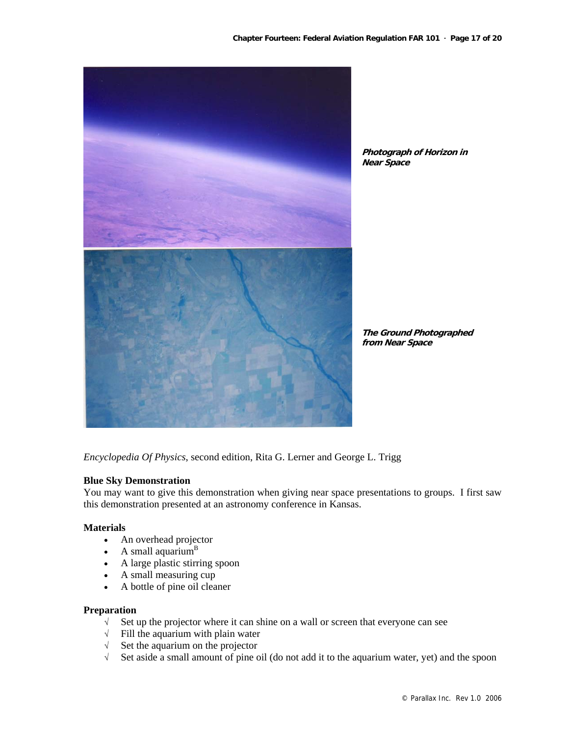

**Photograph of Horizon in Near Space**

**The Ground Photographed from Near Space**

*Encyclopedia Of Physics*, second edition, Rita G. Lerner and George L. Trigg

#### **Blue Sky Demonstration**

You may want to give this demonstration when giving near space presentations to groups. I first saw this demonstration presented at an astronomy conference in Kansas.

#### **Materials**

- An overhead projector
- A small aquarium $<sup>B</sup>$ </sup>
- A large plastic stirring spoon
- A small measuring cup
- A bottle of pine oil cleaner

#### **Preparation**

- √ Set up the projector where it can shine on a wall or screen that everyone can see
- $\sqrt{\ }$  Fill the aquarium with plain water
- √ Set the aquarium on the projector
- √ Set aside a small amount of pine oil (do not add it to the aquarium water, yet) and the spoon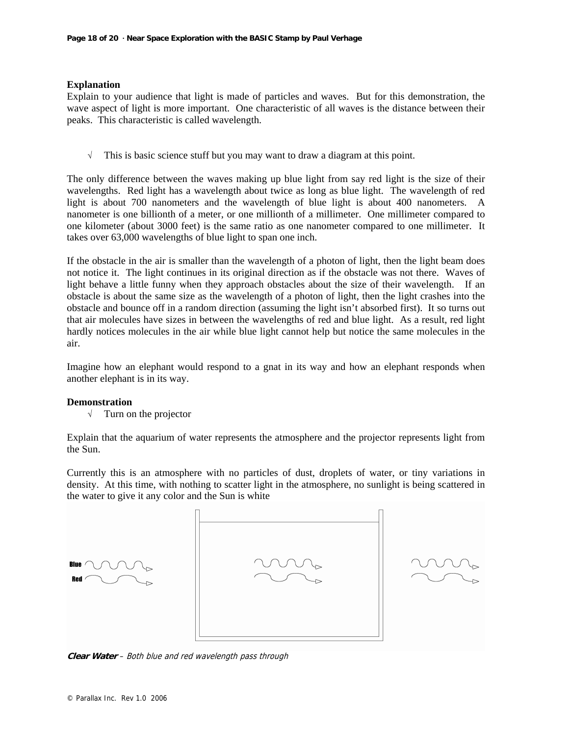#### **Explanation**

Explain to your audience that light is made of particles and waves. But for this demonstration, the wave aspect of light is more important. One characteristic of all waves is the distance between their peaks. This characteristic is called wavelength.

 $\sqrt{\phantom{a}}$  This is basic science stuff but you may want to draw a diagram at this point.

The only difference between the waves making up blue light from say red light is the size of their wavelengths. Red light has a wavelength about twice as long as blue light. The wavelength of red light is about 700 nanometers and the wavelength of blue light is about 400 nanometers. A nanometer is one billionth of a meter, or one millionth of a millimeter. One millimeter compared to one kilometer (about 3000 feet) is the same ratio as one nanometer compared to one millimeter. It takes over 63,000 wavelengths of blue light to span one inch.

If the obstacle in the air is smaller than the wavelength of a photon of light, then the light beam does not notice it. The light continues in its original direction as if the obstacle was not there. Waves of light behave a little funny when they approach obstacles about the size of their wavelength. If an obstacle is about the same size as the wavelength of a photon of light, then the light crashes into the obstacle and bounce off in a random direction (assuming the light isn't absorbed first). It so turns out that air molecules have sizes in between the wavelengths of red and blue light. As a result, red light hardly notices molecules in the air while blue light cannot help but notice the same molecules in the air.

Imagine how an elephant would respond to a gnat in its way and how an elephant responds when another elephant is in its way.

#### **Demonstration**

√ Turn on the projector

Explain that the aquarium of water represents the atmosphere and the projector represents light from the Sun.

Currently this is an atmosphere with no particles of dust, droplets of water, or tiny variations in density. At this time, with nothing to scatter light in the atmosphere, no sunlight is being scattered in the water to give it any color and the Sun is white



**Clear Water** – Both blue and red wavelength pass through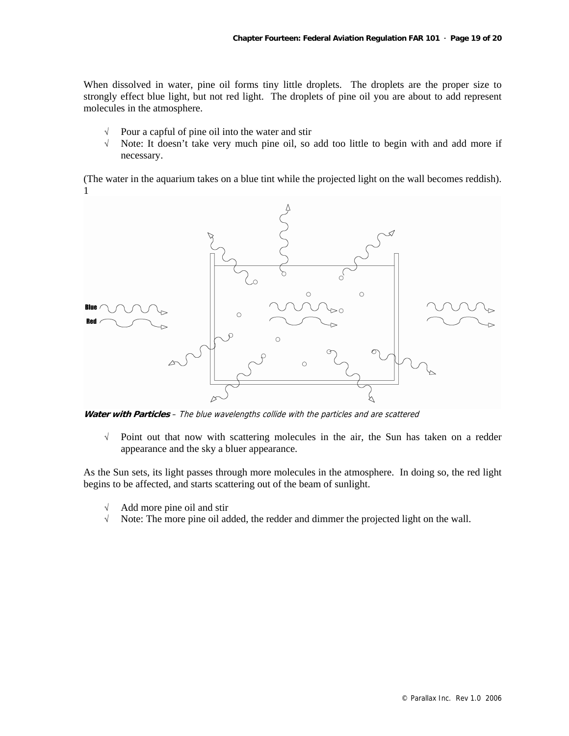When dissolved in water, pine oil forms tiny little droplets. The droplets are the proper size to strongly effect blue light, but not red light. The droplets of pine oil you are about to add represent molecules in the atmosphere.

- √ Pour a capful of pine oil into the water and stir
- √ Note: It doesn't take very much pine oil, so add too little to begin with and add more if necessary.

(The water in the aquarium takes on a blue tint while the projected light on the wall becomes reddish). 1



**Water with Particles** – The blue wavelengths collide with the particles and are scattered

√ Point out that now with scattering molecules in the air, the Sun has taken on a redder appearance and the sky a bluer appearance.

As the Sun sets, its light passes through more molecules in the atmosphere. In doing so, the red light begins to be affected, and starts scattering out of the beam of sunlight.

- Add more pine oil and stir
- √ Note: The more pine oil added, the redder and dimmer the projected light on the wall.